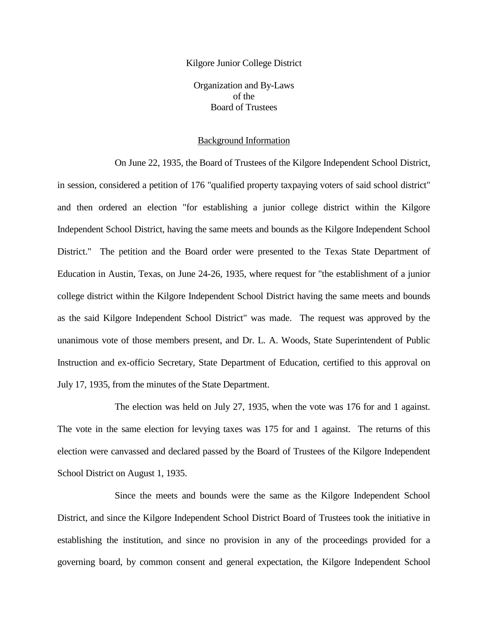Kilgore Junior College District Organization and By-Laws of the Board of Trustees

#### Background Information

On June 22, 1935, the Board of Trustees of the Kilgore Independent School District, in session, considered a petition of 176 "qualified property taxpaying voters of said school district" and then ordered an election "for establishing a junior college district within the Kilgore Independent School District, having the same meets and bounds as the Kilgore Independent School District." The petition and the Board order were presented to the Texas State Department of Education in Austin, Texas, on June 24-26, 1935, where request for "the establishment of a junior college district within the Kilgore Independent School District having the same meets and bounds as the said Kilgore Independent School District" was made. The request was approved by the unanimous vote of those members present, and Dr. L. A. Woods, State Superintendent of Public Instruction and ex-officio Secretary, State Department of Education, certified to this approval on July 17, 1935, from the minutes of the State Department.

The election was held on July 27, 1935, when the vote was 176 for and 1 against. The vote in the same election for levying taxes was 175 for and 1 against. The returns of this election were canvassed and declared passed by the Board of Trustees of the Kilgore Independent School District on August 1, 1935.

Since the meets and bounds were the same as the Kilgore Independent School District, and since the Kilgore Independent School District Board of Trustees took the initiative in establishing the institution, and since no provision in any of the proceedings provided for a governing board, by common consent and general expectation, the Kilgore Independent School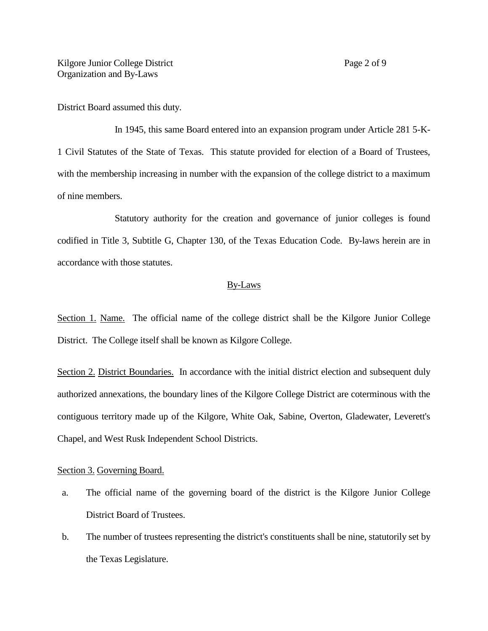District Board assumed this duty.

In 1945, this same Board entered into an expansion program under Article 281 5-K-1 Civil Statutes of the State of Texas. This statute provided for election of a Board of Trustees, with the membership increasing in number with the expansion of the college district to a maximum of nine members.

Statutory authority for the creation and governance of junior colleges is found codified in Title 3, Subtitle G, Chapter 130, of the Texas Education Code. By-laws herein are in accordance with those statutes.

#### By-Laws

Section 1. Name. The official name of the college district shall be the Kilgore Junior College District. The College itself shall be known as Kilgore College.

Section 2. District Boundaries. In accordance with the initial district election and subsequent duly authorized annexations, the boundary lines of the Kilgore College District are coterminous with the contiguous territory made up of the Kilgore, White Oak, Sabine, Overton, Gladewater, Leverett's Chapel, and West Rusk Independent School Districts.

#### Section 3. Governing Board.

- a. The official name of the governing board of the district is the Kilgore Junior College District Board of Trustees.
- b. The number of trustees representing the district's constituents shall be nine, statutorily set by the Texas Legislature.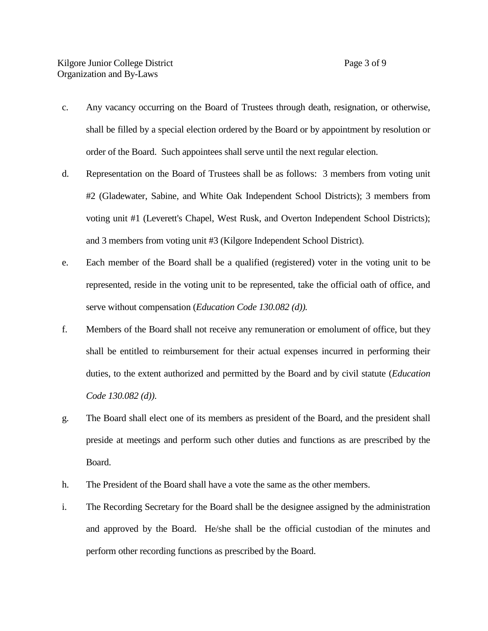- c. Any vacancy occurring on the Board of Trustees through death, resignation, or otherwise, shall be filled by a special election ordered by the Board or by appointment by resolution or order of the Board. Such appointees shall serve until the next regular election.
- d. Representation on the Board of Trustees shall be as follows: 3 members from voting unit #2 (Gladewater, Sabine, and White Oak Independent School Districts); 3 members from voting unit #1 (Leverett's Chapel, West Rusk, and Overton Independent School Districts); and 3 members from voting unit #3 (Kilgore Independent School District).
- e. Each member of the Board shall be a qualified (registered) voter in the voting unit to be represented, reside in the voting unit to be represented, take the official oath of office, and serve without compensation (*Education Code 130.082 (d)).*
- f. Members of the Board shall not receive any remuneration or emolument of office, but they shall be entitled to reimbursement for their actual expenses incurred in performing their duties, to the extent authorized and permitted by the Board and by civil statute (*Education Code 130.082 (d))*.
- g. The Board shall elect one of its members as president of the Board, and the president shall preside at meetings and perform such other duties and functions as are prescribed by the Board.
- h. The President of the Board shall have a vote the same as the other members.
- i. The Recording Secretary for the Board shall be the designee assigned by the administration and approved by the Board. He/she shall be the official custodian of the minutes and perform other recording functions as prescribed by the Board.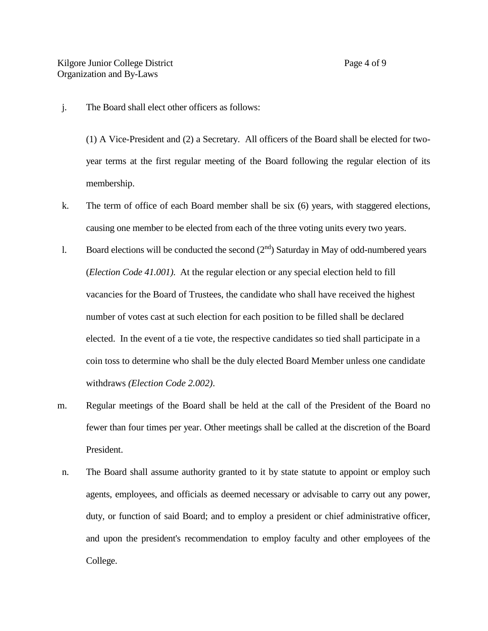j. The Board shall elect other officers as follows:

(1) A Vice-President and (2) a Secretary. All officers of the Board shall be elected for twoyear terms at the first regular meeting of the Board following the regular election of its membership.

- k. The term of office of each Board member shall be six (6) years, with staggered elections, causing one member to be elected from each of the three voting units every two years.
- l. Board elections will be conducted the second  $(2<sup>nd</sup>)$  Saturday in May of odd-numbered years (*Election Code 41.001)*. At the regular election or any special election held to fill vacancies for the Board of Trustees, the candidate who shall have received the highest number of votes cast at such election for each position to be filled shall be declared elected. In the event of a tie vote, the respective candidates so tied shall participate in a coin toss to determine who shall be the duly elected Board Member unless one candidate withdraws *(Election Code 2.002)*.
- m. Regular meetings of the Board shall be held at the call of the President of the Board no fewer than four times per year. Other meetings shall be called at the discretion of the Board President.
- n. The Board shall assume authority granted to it by state statute to appoint or employ such agents, employees, and officials as deemed necessary or advisable to carry out any power, duty, or function of said Board; and to employ a president or chief administrative officer, and upon the president's recommendation to employ faculty and other employees of the College.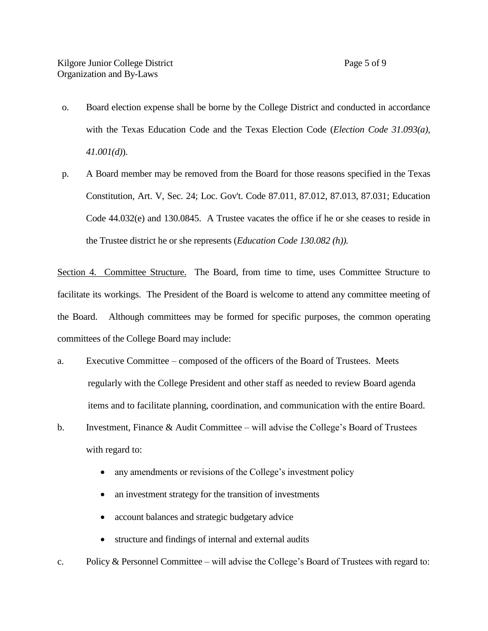- o. Board election expense shall be borne by the College District and conducted in accordance with the Texas Education Code and the Texas Election Code (*Election Code 31.093(a), 41.001(d)*).
- p. A Board member may be removed from the Board for those reasons specified in the Texas Constitution, Art. V, Sec. 24; Loc. Gov't. Code 87.011, 87.012, 87.013, 87.031; Education Code 44.032(e) and 130.0845. A Trustee vacates the office if he or she ceases to reside in the Trustee district he or she represents (*Education Code 130.082 (h)).*

Section 4. Committee Structure. The Board, from time to time, uses Committee Structure to facilitate its workings. The President of the Board is welcome to attend any committee meeting of the Board. Although committees may be formed for specific purposes, the common operating committees of the College Board may include:

- a. Executive Committee composed of the officers of the Board of Trustees. Meets regularly with the College President and other staff as needed to review Board agenda items and to facilitate planning, coordination, and communication with the entire Board.
- b. Investment, Finance & Audit Committee will advise the College's Board of Trustees with regard to:
	- any amendments or revisions of the College's investment policy
	- an investment strategy for the transition of investments
	- account balances and strategic budgetary advice
	- structure and findings of internal and external audits
- c. Policy & Personnel Committee will advise the College's Board of Trustees with regard to: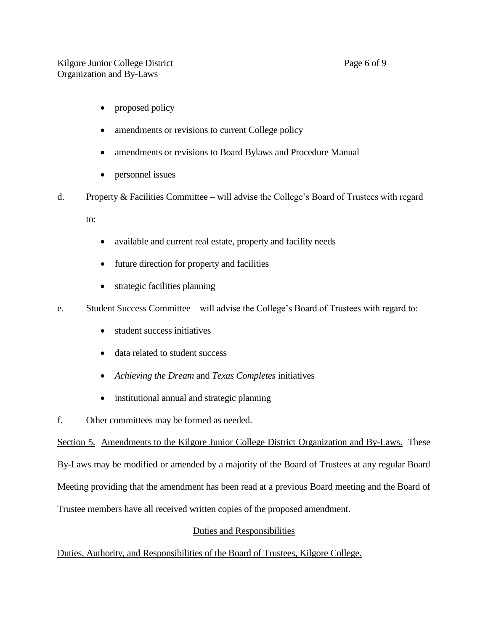- proposed policy
- amendments or revisions to current College policy
- amendments or revisions to Board Bylaws and Procedure Manual
- personnel issues
- d. Property & Facilities Committee will advise the College's Board of Trustees with regard

to:

- available and current real estate, property and facility needs
- future direction for property and facilities
- strategic facilities planning
- e. Student Success Committee will advise the College's Board of Trustees with regard to:
	- student success initiatives
	- data related to student success
	- *Achieving the Dream* and *Texas Completes* initiatives
	- institutional annual and strategic planning
- f. Other committees may be formed as needed.

Section 5. Amendments to the Kilgore Junior College District Organization and By-Laws. These By-Laws may be modified or amended by a majority of the Board of Trustees at any regular Board Meeting providing that the amendment has been read at a previous Board meeting and the Board of Trustee members have all received written copies of the proposed amendment.

#### Duties and Responsibilities

Duties, Authority, and Responsibilities of the Board of Trustees, Kilgore College.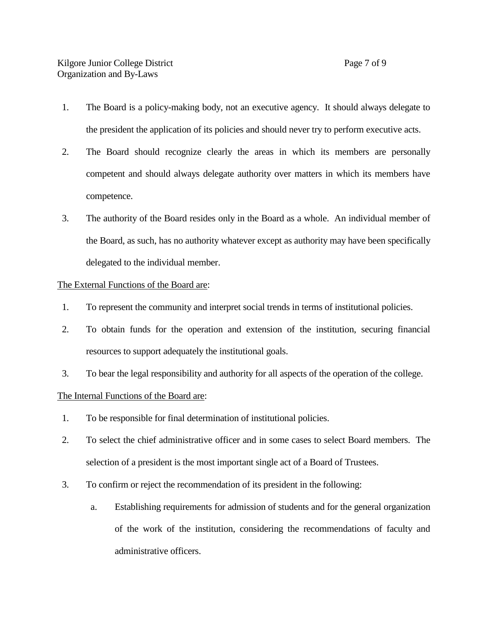- 1. The Board is a policy-making body, not an executive agency. It should always delegate to the president the application of its policies and should never try to perform executive acts.
- 2. The Board should recognize clearly the areas in which its members are personally competent and should always delegate authority over matters in which its members have competence.
- 3. The authority of the Board resides only in the Board as a whole. An individual member of the Board, as such, has no authority whatever except as authority may have been specifically delegated to the individual member.

#### The External Functions of the Board are:

- 1. To represent the community and interpret social trends in terms of institutional policies.
- 2. To obtain funds for the operation and extension of the institution, securing financial resources to support adequately the institutional goals.
- 3. To bear the legal responsibility and authority for all aspects of the operation of the college.

#### The Internal Functions of the Board are:

- 1. To be responsible for final determination of institutional policies.
- 2. To select the chief administrative officer and in some cases to select Board members. The selection of a president is the most important single act of a Board of Trustees.
- 3. To confirm or reject the recommendation of its president in the following:
	- a. Establishing requirements for admission of students and for the general organization of the work of the institution, considering the recommendations of faculty and administrative officers.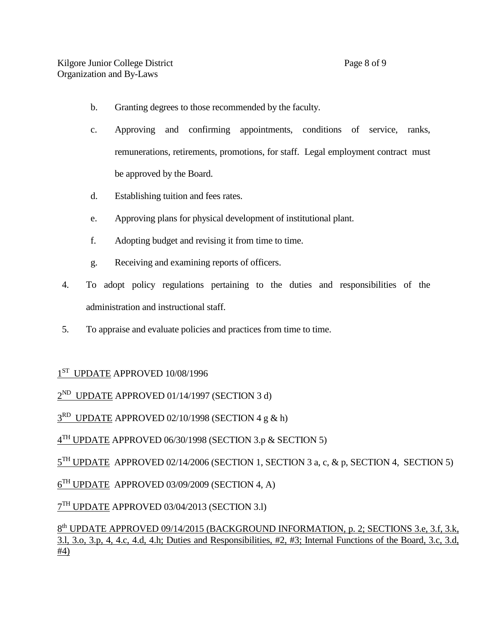- b. Granting degrees to those recommended by the faculty.
- c. Approving and confirming appointments, conditions of service, ranks, remunerations, retirements, promotions, for staff. Legal employment contract must be approved by the Board.
- d. Establishing tuition and fees rates.
- e. Approving plans for physical development of institutional plant.
- f. Adopting budget and revising it from time to time.
- g. Receiving and examining reports of officers.
- 4. To adopt policy regulations pertaining to the duties and responsibilities of the administration and instructional staff.
- 5. To appraise and evaluate policies and practices from time to time.

### $1<sup>ST</sup>$  UPDATE APPROVED 10/08/1996

2<sup>ND</sup> UPDATE APPROVED 01/14/1997 (SECTION 3 d)

3<sup>RD</sup> UPDATE APPROVED 02/10/1998 (SECTION 4 g & h)

 $4^{TH}$  UPDATE APPROVED 06/30/1998 (SECTION 3.p & SECTION 5)

 $5<sup>TH</sup>$  UPDATE APPROVED 02/14/2006 (SECTION 1, SECTION 3 a, c, & p, SECTION 4, SECTION 5)

 $6<sup>TH</sup>$  UPDATE APPROVED 03/09/2009 (SECTION 4, A)

 $7^{\text{TH}}$  UPDATE APPROVED 03/04/2013 (SECTION 3.1)

8<sup>th</sup> UPDATE APPROVED 09/14/2015 (BACKGROUND INFORMATION, p. 2; SECTIONS 3.e, 3.f, 3.k, 3.l, 3.o, 3.p, 4, 4.c, 4.d, 4.h; Duties and Responsibilities, #2, #3; Internal Functions of the Board, 3.c, 3.d, #4)